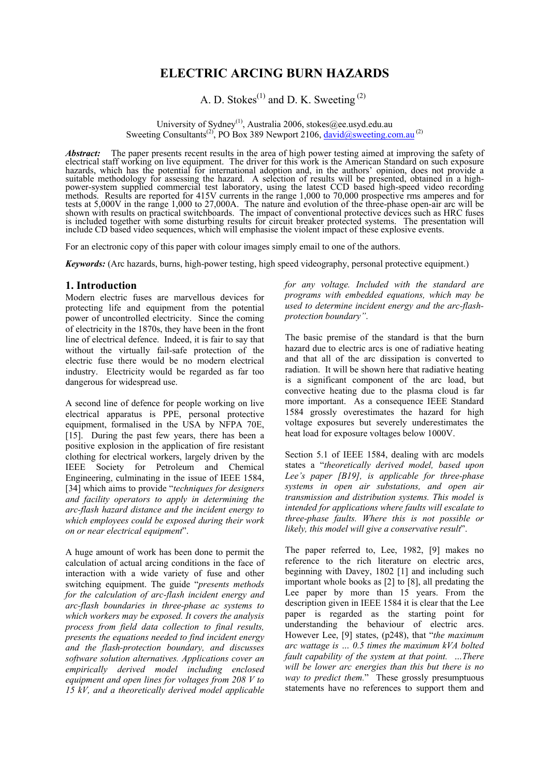# **ELECTRIC ARCING BURN HAZARDS**

A. D. Stokes<sup>(1)</sup> and D. K. Sweeting<sup>(2)</sup>

University of Sydney<sup>(1)</sup>, Australia 2006, stokes@ee.usyd.edu.au Sweeting Consultants<sup>(2)</sup>, PO Box 389 Newport 2106, david@sweeting.com.au<sup>(2)</sup>

*Abstract:* The paper presents recent results in the area of high power testing aimed at improving the safety of electrical staff working on live equipment. The driver for this work is the American Standard on such exposure hazards, which has the potential for international adoption and, in the authors' opinion, does not provide a suitable methodology for assessing the hazard. A selection of results will be presented, obtained in a highpower-system supplied commercial test laboratory, using the latest CCD based high-speed video recording methods. Results are reported for 415V currents in the range 1,000 to 70,000 prospective rms amperes and for tests at 5,000V in the range 1,000 to 27,000A. The nature and evolution of the three-phase open-air arc will be shown with results on practical switchboards. The impact of conventional protective devices such as HRC fuses is included together with some disturbing results for circuit breaker protected systems. The presentation will include CD based video sequences, which will emphasise the violent impact of these explosive events.

For an electronic copy of this paper with colour images simply email to one of the authors.

*Keywords:* (Arc hazards, burns, high-power testing, high speed videography, personal protective equipment.)

### **1. Introduction**

Modern electric fuses are marvellous devices for protecting life and equipment from the potential power of uncontrolled electricity. Since the coming of electricity in the 1870s, they have been in the front line of electrical defence. Indeed, it is fair to say that without the virtually fail-safe protection of the electric fuse there would be no modern electrical industry. Electricity would be regarded as far too dangerous for widespread use.

A second line of defence for people working on live electrical apparatus is PPE, personal protective equipment, formalised in the USA by NFPA 70E, [15]. During the past few years, there has been a positive explosion in the application of fire resistant clothing for electrical workers, largely driven by the IEEE Society for Petroleum and Chemical Engineering, culminating in the issue of IEEE 1584, [34] which aims to provide "*techniques for designers and facility operators to apply in determining the arc-flash hazard distance and the incident energy to which employees could be exposed during their work on or near electrical equipment*".

A huge amount of work has been done to permit the calculation of actual arcing conditions in the face of interaction with a wide variety of fuse and other switching equipment. The guide "*presents methods for the calculation of arc-flash incident energy and arc-flash boundaries in three-phase ac systems to which workers may be exposed. It covers the analysis process from field data collection to final results, presents the equations needed to find incident energy and the flash-protection boundary, and discusses software solution alternatives. Applications cover an empirically derived model including enclosed equipment and open lines for voltages from 208 V to 15 kV, and a theoretically derived model applicable* 

*for any voltage. Included with the standard are programs with embedded equations, which may be used to determine incident energy and the arc-flashprotection boundary"*.

The basic premise of the standard is that the burn hazard due to electric arcs is one of radiative heating and that all of the arc dissipation is converted to radiation. It will be shown here that radiative heating is a significant component of the arc load, but convective heating due to the plasma cloud is far more important. As a consequence IEEE Standard 1584 grossly overestimates the hazard for high voltage exposures but severely underestimates the heat load for exposure voltages below 1000V.

Section 5.1 of IEEE 1584, dealing with arc models states a "*theoretically derived model, based upon Lee's paper [B19], is applicable for three-phase systems in open air substations, and open air transmission and distribution systems. This model is intended for applications where faults will escalate to three-phase faults. Where this is not possible or likely, this model will give a conservative result*".

The paper referred to, Lee, 1982, [9] makes no reference to the rich literature on electric arcs, beginning with Davey, 1802 [1] and including such important whole books as [2] to [8], all predating the Lee paper by more than 15 years. From the description given in IEEE 1584 it is clear that the Lee paper is regarded as the starting point for understanding the behaviour of electric arcs. However Lee, [9] states, (p248), that "*the maximum arc wattage is … 0.5 times the maximum kVA bolted fault capability of the system at that point. …There will be lower arc energies than this but there is no way to predict them.*" These grossly presumptuous statements have no references to support them and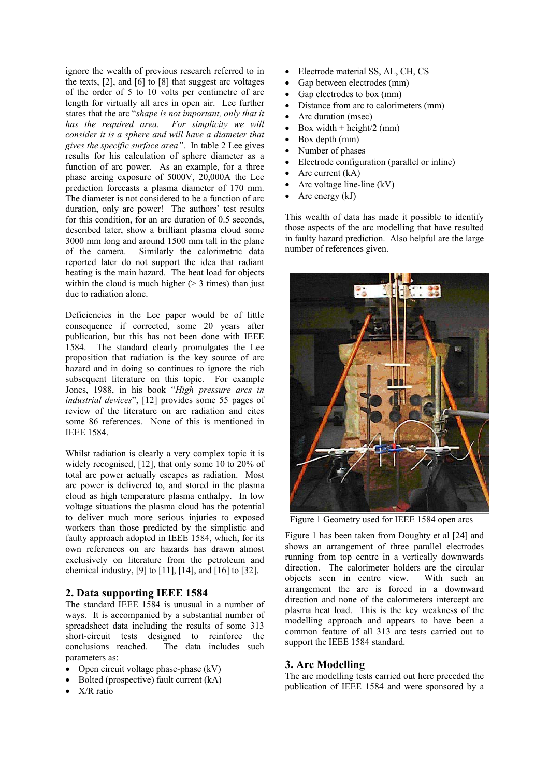ignore the wealth of previous research referred to in the texts, [2], and [6] to [8] that suggest arc voltages of the order of 5 to 10 volts per centimetre of arc length for virtually all arcs in open air. Lee further states that the arc "*shape is not important, only that it has the required area. For simplicity we will consider it is a sphere and will have a diameter that gives the specific surface area"*. In table 2 Lee gives results for his calculation of sphere diameter as a function of arc power. As an example, for a three phase arcing exposure of 5000V, 20,000A the Lee prediction forecasts a plasma diameter of 170 mm. The diameter is not considered to be a function of arc duration, only arc power! The authors' test results for this condition, for an arc duration of 0.5 seconds, described later, show a brilliant plasma cloud some 3000 mm long and around 1500 mm tall in the plane of the camera. Similarly the calorimetric data reported later do not support the idea that radiant heating is the main hazard. The heat load for objects within the cloud is much higher  $(> 3$  times) than just due to radiation alone.

Deficiencies in the Lee paper would be of little consequence if corrected, some 20 years after publication, but this has not been done with IEEE 1584. The standard clearly promulgates the Lee proposition that radiation is the key source of arc hazard and in doing so continues to ignore the rich subsequent literature on this topic. For example Jones, 1988, in his book "*High pressure arcs in industrial devices*", [12] provides some 55 pages of review of the literature on arc radiation and cites some 86 references. None of this is mentioned in IEEE 1584.

Whilst radiation is clearly a very complex topic it is widely recognised, [12], that only some 10 to 20% of total arc power actually escapes as radiation. Most arc power is delivered to, and stored in the plasma cloud as high temperature plasma enthalpy. In low voltage situations the plasma cloud has the potential to deliver much more serious injuries to exposed workers than those predicted by the simplistic and faulty approach adopted in IEEE 1584, which, for its own references on arc hazards has drawn almost exclusively on literature from the petroleum and chemical industry, [9] to [11], [14], and [16] to [32].

## **2. Data supporting IEEE 1584**

The standard IEEE 1584 is unusual in a number of ways. It is accompanied by a substantial number of spreadsheet data including the results of some 313 short-circuit tests designed to reinforce the conclusions reached. The data includes such parameters as:

- Open circuit voltage phase-phase (kV)
- Bolted (prospective) fault current (kA)
- X/R ratio
- Electrode material SS, AL, CH, CS
- Gap between electrodes (mm)
- Gap electrodes to box (mm)
- Distance from arc to calorimeters (mm)
- Arc duration (msec)
- Box width  $+$  height/2 (mm)
- Box depth (mm)
- Number of phases
- Electrode configuration (parallel or inline)
- Arc current (kA)
- Arc voltage line-line (kV)
- Arc energy (kJ)

This wealth of data has made it possible to identify those aspects of the arc modelling that have resulted in faulty hazard prediction. Also helpful are the large number of references given.



Figure 1 Geometry used for IEEE 1584 open arcs

Figure 1 has been taken from Doughty et al [24] and shows an arrangement of three parallel electrodes running from top centre in a vertically downwards direction. The calorimeter holders are the circular objects seen in centre view. With such an arrangement the arc is forced in a downward direction and none of the calorimeters intercept arc plasma heat load. This is the key weakness of the modelling approach and appears to have been a common feature of all 313 arc tests carried out to support the IEEE 1584 standard.

#### **3. Arc Modelling**

The arc modelling tests carried out here preceded the publication of IEEE 1584 and were sponsored by a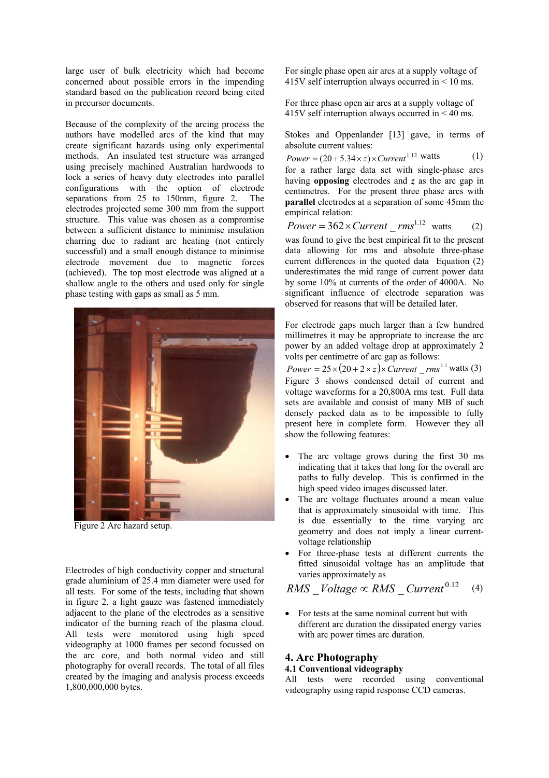large user of bulk electricity which had become concerned about possible errors in the impending standard based on the publication record being cited in precursor documents.

Because of the complexity of the arcing process the authors have modelled arcs of the kind that may create significant hazards using only experimental methods. An insulated test structure was arranged using precisely machined Australian hardwoods to lock a series of heavy duty electrodes into parallel configurations with the option of electrode separations from 25 to 150mm, figure 2. The electrodes projected some 300 mm from the support structure. This value was chosen as a compromise between a sufficient distance to minimise insulation charring due to radiant arc heating (not entirely successful) and a small enough distance to minimise electrode movement due to magnetic forces (achieved). The top most electrode was aligned at a shallow angle to the others and used only for single phase testing with gaps as small as 5 mm.



Figure 2 Arc hazard setup.

Electrodes of high conductivity copper and structural grade aluminium of 25.4 mm diameter were used for all tests. For some of the tests, including that shown in figure 2, a light gauze was fastened immediately adjacent to the plane of the electrodes as a sensitive indicator of the burning reach of the plasma cloud. All tests were monitored using high speed videography at 1000 frames per second focussed on the arc core, and both normal video and still photography for overall records. The total of all files created by the imaging and analysis process exceeds 1,800,000,000 bytes.

For single phase open air arcs at a supply voltage of 415V self interruption always occurred in < 10 ms.

For three phase open air arcs at a supply voltage of 415V self interruption always occurred in < 40 ms.

Stokes and Oppenlander [13] gave, in terms of absolute current values:

 $Power = (20 + 5.34 \times z) \times Current^{1.12} \text{ watts}$  (1) for a rather large data set with single-phase arcs having **opposing** electrodes and *z* as the arc gap in centimetres. For the present three phase arcs with **parallel** electrodes at a separation of some 45mm the empirical relation:

 $Power = 362 \times Current\_rms^{1.12}$  watts (2) was found to give the best empirical fit to the present data allowing for rms and absolute three-phase current differences in the quoted data Equation (2) underestimates the mid range of current power data by some 10% at currents of the order of 4000A. No significant influence of electrode separation was observed for reasons that will be detailed later.

For electrode gaps much larger than a few hundred millimetres it may be appropriate to increase the arc power by an added voltage drop at approximately 2 volts per centimetre of arc gap as follows:

 $Power = 25 \times (20 + 2 \times z) \times Current\_rms^{1.1}$  watts (3) Figure 3 shows condensed detail of current and voltage waveforms for a 20,800A rms test. Full data sets are available and consist of many MB of such densely packed data as to be impossible to fully present here in complete form. However they all show the following features:

- The arc voltage grows during the first 30 ms indicating that it takes that long for the overall arc paths to fully develop. This is confirmed in the high speed video images discussed later.
- The arc voltage fluctuates around a mean value that is approximately sinusoidal with time. This is due essentially to the time varying arc geometry and does not imply a linear currentvoltage relationship
- For three-phase tests at different currents the fitted sinusoidal voltage has an amplitude that varies approximately as

$$
RMS\_Voltage \propto RMS\_Current^{0.12} \quad (4)
$$

• For tests at the same nominal current but with different arc duration the dissipated energy varies with arc power times arc duration.

# **4. Arc Photography**

### **4.1 Conventional videography**

All tests were recorded using conventional videography using rapid response CCD cameras.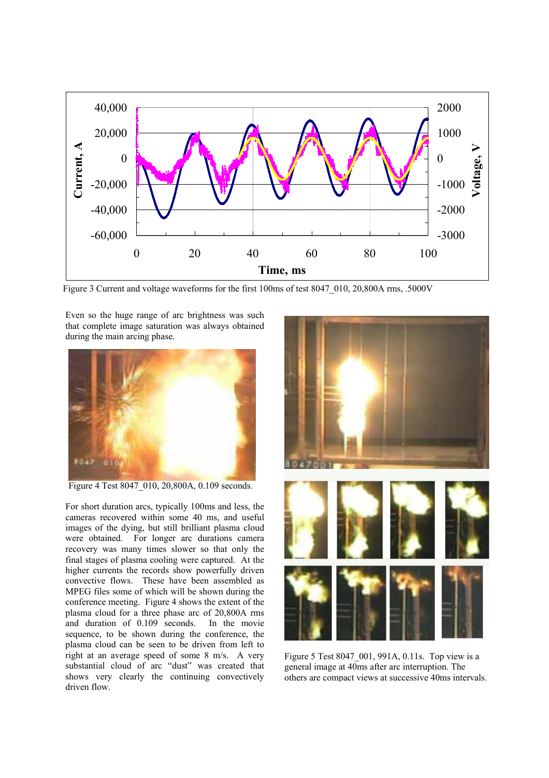

Figure 3 Current and voltage waveforms for the first 100ms of test 8047 010, 20,800A rms, .5000V

Even so the huge range of arc brightness was such that complete image saturation was always obtained during the main arcing phase.



Figure 4 Test 8047 010, 20,800A, 0.109 seconds.

For short duration arcs, typically 100ms and less, the cameras recovered within some 40 ms, and useful images of the dying, but still brilliant plasma cloud were obtained. For longer arc durations camera recovery was many times slower so that only the final stages of plasma cooling were captured. At the higher currents the records show powerfully driven convective flows. These have been assembled as MPEG files some of which will be shown during the conference meeting. Figure 4 shows the extent of the plasma cloud for a three phase arc of 20,800A rms<br>and duration of 0.109 seconds In the movie and duration of  $0.109$  seconds. sequence, to be shown during the conference, the plasma cloud can be seen to be driven from left to right at an average speed of some 8 m/s. A very substantial cloud of arc "dust" was created that shows very clearly the continuing convectively driven flow.



Figure 5 Test 8047\_001, 991A, 0.11s. Top view is a general image at 40ms after arc interruption. The others are compact views at successive 40ms intervals.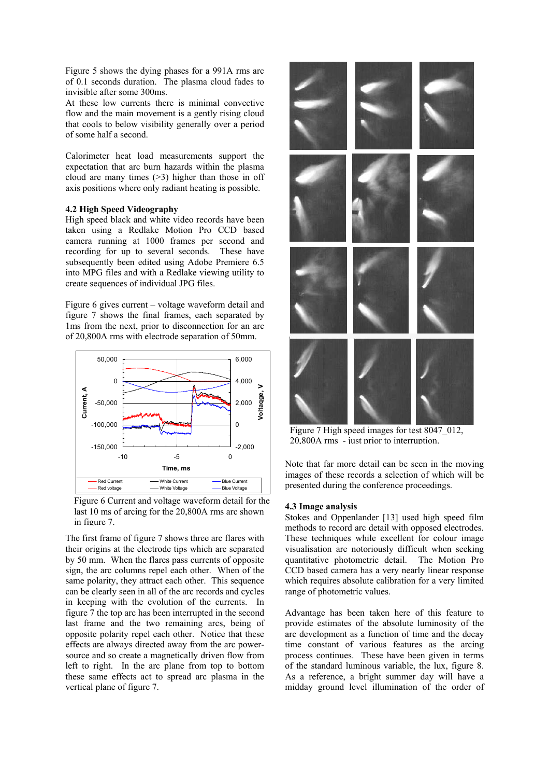Figure 5 shows the dying phases for a 991A rms arc of 0.1 seconds duration. The plasma cloud fades to invisible after some 300ms.

At these low currents there is minimal convective flow and the main movement is a gently rising cloud that cools to below visibility generally over a period of some half a second.

Calorimeter heat load measurements support the expectation that arc burn hazards within the plasma cloud are many times (>3) higher than those in off axis positions where only radiant heating is possible.

#### **4.2 High Speed Videography**

High speed black and white video records have been taken using a Redlake Motion Pro CCD based camera running at 1000 frames per second and recording for up to several seconds. These have subsequently been edited using Adobe Premiere 6.5 into MPG files and with a Redlake viewing utility to create sequences of individual JPG files.

Figure 6 gives current – voltage waveform detail and figure 7 shows the final frames, each separated by 1ms from the next, prior to disconnection for an arc of 20,800A rms with electrode separation of 50mm.



Figure 6 Current and voltage waveform detail for the last 10 ms of arcing for the 20,800A rms arc shown in figure 7.

The first frame of figure 7 shows three arc flares with their origins at the electrode tips which are separated by 50 mm. When the flares pass currents of opposite sign, the arc columns repel each other. When of the same polarity, they attract each other. This sequence can be clearly seen in all of the arc records and cycles in keeping with the evolution of the currents. In figure 7 the top arc has been interrupted in the second last frame and the two remaining arcs, being of opposite polarity repel each other. Notice that these effects are always directed away from the arc powersource and so create a magnetically driven flow from left to right. In the arc plane from top to bottom these same effects act to spread arc plasma in the vertical plane of figure 7.



Figure 7 High speed images for test 8047\_012, 20,800A rms - just prior to interruption.

Note that far more detail can be seen in the moving images of these records a selection of which will be presented during the conference proceedings.

### **4.3 Image analysis**

Stokes and Oppenlander [13] used high speed film methods to record arc detail with opposed electrodes. These techniques while excellent for colour image visualisation are notoriously difficult when seeking quantitative photometric detail. The Motion Pro CCD based camera has a very nearly linear response which requires absolute calibration for a very limited range of photometric values.

Advantage has been taken here of this feature to provide estimates of the absolute luminosity of the arc development as a function of time and the decay time constant of various features as the arcing process continues. These have been given in terms of the standard luminous variable, the lux, figure 8. As a reference, a bright summer day will have a midday ground level illumination of the order of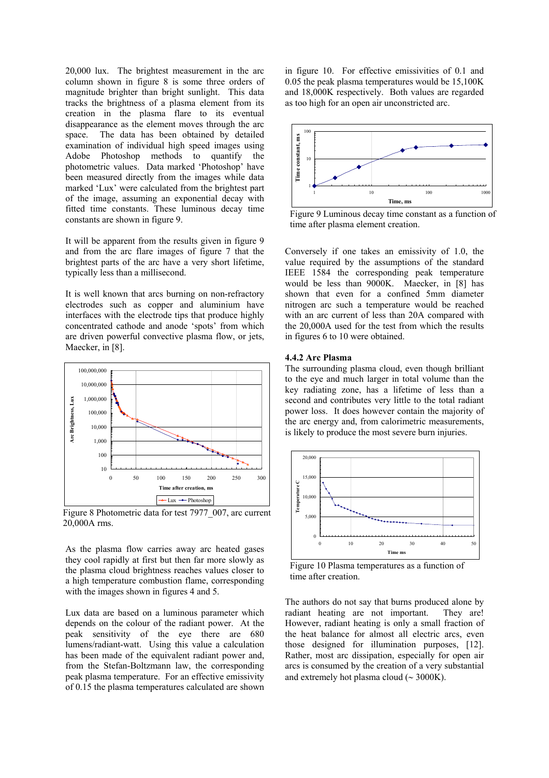20,000 lux. The brightest measurement in the arc column shown in figure 8 is some three orders of magnitude brighter than bright sunlight. This data tracks the brightness of a plasma element from its creation in the plasma flare to its eventual disappearance as the element moves through the arc space. The data has been obtained by detailed examination of individual high speed images using Adobe Photoshop methods to quantify the photometric values. Data marked 'Photoshop' have been measured directly from the images while data marked 'Lux' were calculated from the brightest part of the image, assuming an exponential decay with fitted time constants. These luminous decay time constants are shown in figure 9.

It will be apparent from the results given in figure 9 and from the arc flare images of figure 7 that the brightest parts of the arc have a very short lifetime, typically less than a millisecond.

It is well known that arcs burning on non-refractory electrodes such as copper and aluminium have interfaces with the electrode tips that produce highly concentrated cathode and anode 'spots' from which are driven powerful convective plasma flow, or jets, Maecker, in [8].



Figure 8 Photometric data for test 7977\_007, arc current 20,000A rms.

As the plasma flow carries away arc heated gases they cool rapidly at first but then far more slowly as the plasma cloud brightness reaches values closer to a high temperature combustion flame, corresponding with the images shown in figures 4 and 5.

Lux data are based on a luminous parameter which depends on the colour of the radiant power. At the peak sensitivity of the eye there are 680 lumens/radiant-watt. Using this value a calculation has been made of the equivalent radiant power and, from the Stefan-Boltzmann law, the corresponding peak plasma temperature. For an effective emissivity of 0.15 the plasma temperatures calculated are shown

in figure 10. For effective emissivities of 0.1 and 0.05 the peak plasma temperatures would be 15,100K and 18,000K respectively. Both values are regarded as too high for an open air unconstricted arc.



Figure 9 Luminous decay time constant as a function of time after plasma element creation.

Conversely if one takes an emissivity of 1.0, the value required by the assumptions of the standard IEEE 1584 the corresponding peak temperature would be less than 9000K. Maecker, in [8] has shown that even for a confined 5mm diameter nitrogen arc such a temperature would be reached with an arc current of less than 20A compared with the 20,000A used for the test from which the results in figures 6 to 10 were obtained.

#### **4.4.2 Arc Plasma**

The surrounding plasma cloud, even though brilliant to the eye and much larger in total volume than the key radiating zone, has a lifetime of less than a second and contributes very little to the total radiant power loss. It does however contain the majority of the arc energy and, from calorimetric measurements, is likely to produce the most severe burn injuries.



Figure 10 Plasma temperatures as a function of time after creation.

The authors do not say that burns produced alone by radiant heating are not important. They are! However, radiant heating is only a small fraction of the heat balance for almost all electric arcs, even those designed for illumination purposes, [12]. Rather, most arc dissipation, especially for open air arcs is consumed by the creation of a very substantial and extremely hot plasma cloud (∼ 3000K).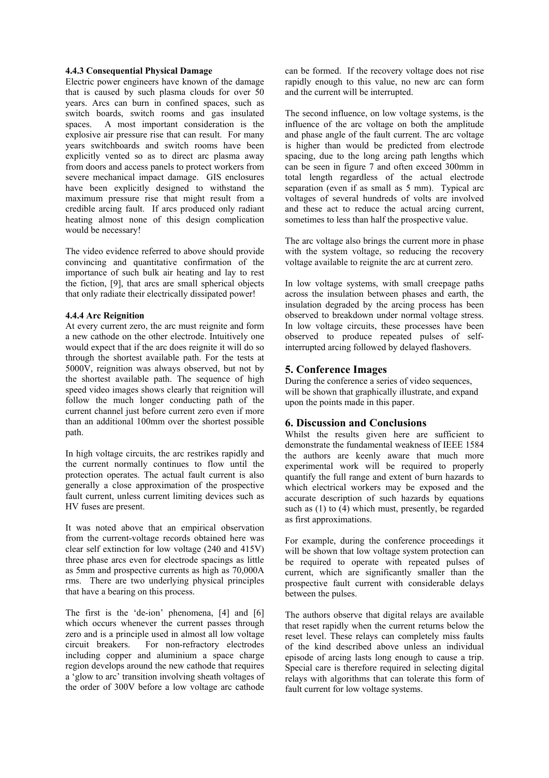#### **4.4.3 Consequential Physical Damage**

Electric power engineers have known of the damage that is caused by such plasma clouds for over 50 years. Arcs can burn in confined spaces, such as switch boards, switch rooms and gas insulated spaces. A most important consideration is the explosive air pressure rise that can result. For many years switchboards and switch rooms have been explicitly vented so as to direct arc plasma away from doors and access panels to protect workers from severe mechanical impact damage. GIS enclosures have been explicitly designed to withstand the maximum pressure rise that might result from a credible arcing fault. If arcs produced only radiant heating almost none of this design complication would be necessary!

The video evidence referred to above should provide convincing and quantitative confirmation of the importance of such bulk air heating and lay to rest the fiction, [9], that arcs are small spherical objects that only radiate their electrically dissipated power!

#### **4.4.4 Arc Reignition**

At every current zero, the arc must reignite and form a new cathode on the other electrode. Intuitively one would expect that if the arc does reignite it will do so through the shortest available path. For the tests at 5000V, reignition was always observed, but not by the shortest available path. The sequence of high speed video images shows clearly that reignition will follow the much longer conducting path of the current channel just before current zero even if more than an additional 100mm over the shortest possible path.

In high voltage circuits, the arc restrikes rapidly and the current normally continues to flow until the protection operates. The actual fault current is also generally a close approximation of the prospective fault current, unless current limiting devices such as HV fuses are present.

It was noted above that an empirical observation from the current-voltage records obtained here was clear self extinction for low voltage (240 and 415V) three phase arcs even for electrode spacings as little as 5mm and prospective currents as high as 70,000A rms. There are two underlying physical principles that have a bearing on this process.

The first is the 'de-ion' phenomena, [4] and [6] which occurs whenever the current passes through zero and is a principle used in almost all low voltage circuit breakers. For non-refractory electrodes including copper and aluminium a space charge region develops around the new cathode that requires a 'glow to arc' transition involving sheath voltages of the order of 300V before a low voltage arc cathode

can be formed. If the recovery voltage does not rise rapidly enough to this value, no new arc can form and the current will be interrupted.

The second influence, on low voltage systems, is the influence of the arc voltage on both the amplitude and phase angle of the fault current. The arc voltage is higher than would be predicted from electrode spacing, due to the long arcing path lengths which can be seen in figure 7 and often exceed 300mm in total length regardless of the actual electrode separation (even if as small as 5 mm). Typical arc voltages of several hundreds of volts are involved and these act to reduce the actual arcing current, sometimes to less than half the prospective value.

The arc voltage also brings the current more in phase with the system voltage, so reducing the recovery voltage available to reignite the arc at current zero.

In low voltage systems, with small creepage paths across the insulation between phases and earth, the insulation degraded by the arcing process has been observed to breakdown under normal voltage stress. In low voltage circuits, these processes have been observed to produce repeated pulses of selfinterrupted arcing followed by delayed flashovers.

### **5. Conference Images**

During the conference a series of video sequences, will be shown that graphically illustrate, and expand upon the points made in this paper.

### **6. Discussion and Conclusions**

Whilst the results given here are sufficient to demonstrate the fundamental weakness of IEEE 1584 the authors are keenly aware that much more experimental work will be required to properly quantify the full range and extent of burn hazards to which electrical workers may be exposed and the accurate description of such hazards by equations such as (1) to (4) which must, presently, be regarded as first approximations.

For example, during the conference proceedings it will be shown that low voltage system protection can be required to operate with repeated pulses of current, which are significantly smaller than the prospective fault current with considerable delays between the pulses.

The authors observe that digital relays are available that reset rapidly when the current returns below the reset level. These relays can completely miss faults of the kind described above unless an individual episode of arcing lasts long enough to cause a trip. Special care is therefore required in selecting digital relays with algorithms that can tolerate this form of fault current for low voltage systems.